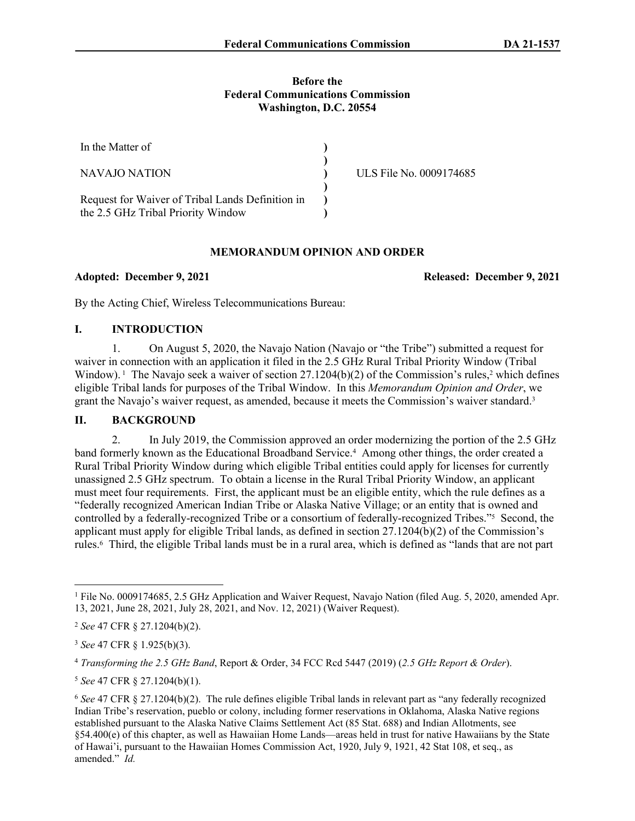### **Before the Federal Communications Commission Washington, D.C. 20554**

| In the Matter of                                                                       |                         |
|----------------------------------------------------------------------------------------|-------------------------|
| NAVAJO NATION                                                                          | ULS File No. 0009174685 |
| Request for Waiver of Tribal Lands Definition in<br>the 2.5 GHz Tribal Priority Window |                         |

## **MEMORANDUM OPINION AND ORDER**

**Adopted: December 9, 2021 Released: December 9, 2021**

By the Acting Chief, Wireless Telecommunications Bureau:

## **I. INTRODUCTION**

1. On August 5, 2020, the Navajo Nation (Navajo or "the Tribe") submitted a request for waiver in connection with an application it filed in the 2.5 GHz Rural Tribal Priority Window (Tribal Window).<sup>1</sup> The Navajo seek a waiver of section  $27.1204(b)(2)$  of the Commission's rules,<sup>2</sup> which defines eligible Tribal lands for purposes of the Tribal Window. In this *Memorandum Opinion and Order*, we grant the Navajo's waiver request, as amended, because it meets the Commission's waiver standard.<sup>3</sup>

# **II. BACKGROUND**

2. In July 2019, the Commission approved an order modernizing the portion of the 2.5 GHz band formerly known as the Educational Broadband Service.<sup>4</sup> Among other things, the order created a Rural Tribal Priority Window during which eligible Tribal entities could apply for licenses for currently unassigned 2.5 GHz spectrum. To obtain a license in the Rural Tribal Priority Window, an applicant must meet four requirements. First, the applicant must be an eligible entity, which the rule defines as a "federally recognized American Indian Tribe or Alaska Native Village; or an entity that is owned and controlled by a federally-recognized Tribe or a consortium of federally-recognized Tribes."<sup>5</sup> Second, the applicant must apply for eligible Tribal lands, as defined in section 27.1204(b)(2) of the Commission's rules.<sup>6</sup> Third, the eligible Tribal lands must be in a rural area, which is defined as "lands that are not part

<sup>&</sup>lt;sup>1</sup> File No. 0009174685, 2.5 GHz Application and Waiver Request, Navajo Nation (filed Aug. 5, 2020, amended Apr. 13, 2021, June 28, 2021, July 28, 2021, and Nov. 12, 2021) (Waiver Request).

<sup>2</sup> *See* 47 CFR § 27.1204(b)(2).

<sup>3</sup> *See* 47 CFR § 1.925(b)(3).

<sup>4</sup> *Transforming the 2.5 GHz Band*, Report & Order, 34 FCC Rcd 5447 (2019) (*2.5 GHz Report & Order*).

<sup>5</sup> *See* 47 CFR § 27.1204(b)(1).

<sup>6</sup> *See* 47 CFR § 27.1204(b)(2). The rule defines eligible Tribal lands in relevant part as "any federally recognized Indian Tribe's reservation, pueblo or colony, including former reservations in Oklahoma, Alaska Native regions established pursuant to the Alaska Native Claims Settlement Act (85 Stat. 688) and Indian Allotments, see §54.400(e) of this chapter, as well as Hawaiian Home Lands—areas held in trust for native Hawaiians by the State of Hawai'i, pursuant to the Hawaiian Homes Commission Act, 1920, July 9, 1921, 42 Stat 108, et seq., as amended." *Id.*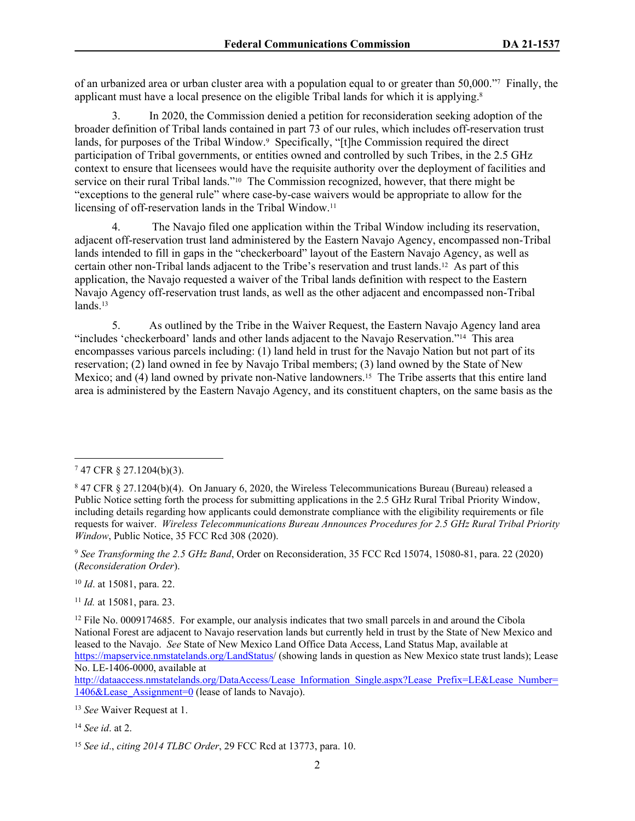of an urbanized area or urban cluster area with a population equal to or greater than 50,000."<sup>7</sup> Finally, the applicant must have a local presence on the eligible Tribal lands for which it is applying.<sup>8</sup>

3. In 2020, the Commission denied a petition for reconsideration seeking adoption of the broader definition of Tribal lands contained in part 73 of our rules, which includes off-reservation trust lands, for purposes of the Tribal Window.<sup>9</sup> Specifically, "[t]he Commission required the direct participation of Tribal governments, or entities owned and controlled by such Tribes, in the 2.5 GHz context to ensure that licensees would have the requisite authority over the deployment of facilities and service on their rural Tribal lands."<sup>10</sup> The Commission recognized, however, that there might be "exceptions to the general rule" where case-by-case waivers would be appropriate to allow for the licensing of off-reservation lands in the Tribal Window.<sup>11</sup>

4. The Navajo filed one application within the Tribal Window including its reservation, adjacent off-reservation trust land administered by the Eastern Navajo Agency, encompassed non-Tribal lands intended to fill in gaps in the "checkerboard" layout of the Eastern Navajo Agency, as well as certain other non-Tribal lands adjacent to the Tribe's reservation and trust lands.12 As part of this application, the Navajo requested a waiver of the Tribal lands definition with respect to the Eastern Navajo Agency off-reservation trust lands, as well as the other adjacent and encompassed non-Tribal lands.<sup>13</sup>

5. As outlined by the Tribe in the Waiver Request, the Eastern Navajo Agency land area "includes 'checkerboard' lands and other lands adjacent to the Navajo Reservation."14 This area encompasses various parcels including: (1) land held in trust for the Navajo Nation but not part of its reservation; (2) land owned in fee by Navajo Tribal members; (3) land owned by the State of New Mexico; and (4) land owned by private non-Native landowners.<sup>15</sup> The Tribe asserts that this entire land area is administered by the Eastern Navajo Agency, and its constituent chapters, on the same basis as the

<sup>10</sup> *Id*. at 15081, para. 22.

<sup>11</sup> *Id.* at 15081, para. 23.

<sup>13</sup> *See* Waiver Request at 1.

<sup>7</sup> 47 CFR § 27.1204(b)(3).

<sup>8</sup> 47 CFR § 27.1204(b)(4). On January 6, 2020, the Wireless Telecommunications Bureau (Bureau) released a Public Notice setting forth the process for submitting applications in the 2.5 GHz Rural Tribal Priority Window, including details regarding how applicants could demonstrate compliance with the eligibility requirements or file requests for waiver. *Wireless Telecommunications Bureau Announces Procedures for 2.5 GHz Rural Tribal Priority Window*, Public Notice, 35 FCC Rcd 308 (2020).

<sup>9</sup> *See Transforming the 2.5 GHz Band*, Order on Reconsideration, 35 FCC Rcd 15074, 15080-81, para. 22 (2020) (*Reconsideration Order*).

<sup>&</sup>lt;sup>12</sup> File No. 0009174685. For example, our analysis indicates that two small parcels in and around the Cibola National Forest are adjacent to Navajo reservation lands but currently held in trust by the State of New Mexico and leased to the Navajo. *See* State of New Mexico Land Office Data Access, Land Status Map, available at <https://mapservice.nmstatelands.org/LandStatus/> (showing lands in question as New Mexico state trust lands); Lease No. LE-1406-0000, available at

[http://dataaccess.nmstatelands.org/DataAccess/Lease\\_Information\\_Single.aspx?Lease\\_Prefix=LE&Lease\\_Number=](http://dataaccess.nmstatelands.org/DataAccess/Lease_Information_Single.aspx?Lease_Prefix=LE&Lease_Number=1406&Lease_Assignment=0)  $1406\&$ Lease Assignment=0 (lease of lands to Navajo).

<sup>14</sup> *See id*. at 2.

<sup>15</sup> *See id*., *citing 2014 TLBC Order*, 29 FCC Rcd at 13773, para. 10.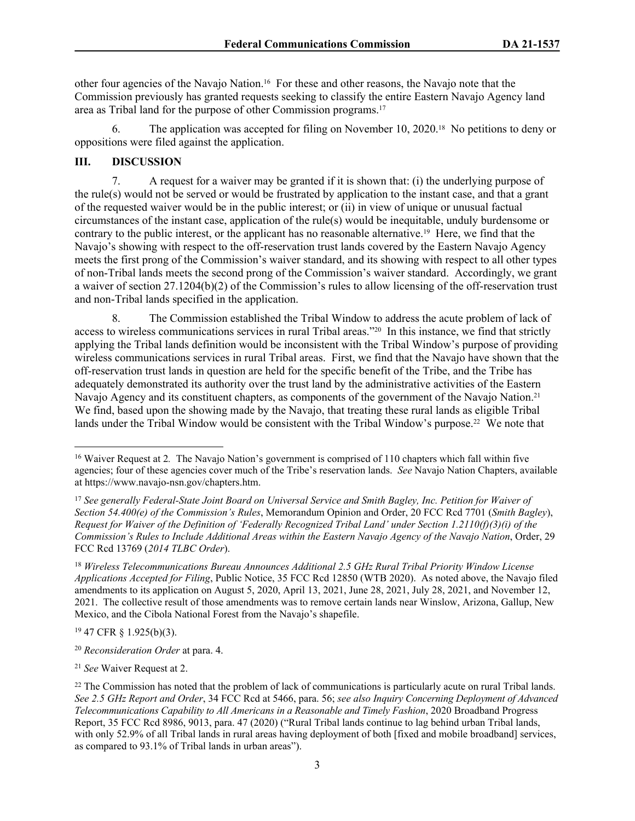other four agencies of the Navajo Nation.16 For these and other reasons, the Navajo note that the Commission previously has granted requests seeking to classify the entire Eastern Navajo Agency land area as Tribal land for the purpose of other Commission programs.<sup>17</sup>

6. The application was accepted for filing on November 10, 2020.18 No petitions to deny or oppositions were filed against the application.

## **III. DISCUSSION**

7. A request for a waiver may be granted if it is shown that: (i) the underlying purpose of the rule(s) would not be served or would be frustrated by application to the instant case, and that a grant of the requested waiver would be in the public interest; or (ii) in view of unique or unusual factual circumstances of the instant case, application of the rule(s) would be inequitable, unduly burdensome or contrary to the public interest, or the applicant has no reasonable alternative.19 Here, we find that the Navajo's showing with respect to the off-reservation trust lands covered by the Eastern Navajo Agency meets the first prong of the Commission's waiver standard, and its showing with respect to all other types of non-Tribal lands meets the second prong of the Commission's waiver standard. Accordingly, we grant a waiver of section 27.1204(b)(2) of the Commission's rules to allow licensing of the off-reservation trust and non-Tribal lands specified in the application.

8. The Commission established the Tribal Window to address the acute problem of lack of access to wireless communications services in rural Tribal areas."20 In this instance, we find that strictly applying the Tribal lands definition would be inconsistent with the Tribal Window's purpose of providing wireless communications services in rural Tribal areas. First, we find that the Navajo have shown that the off-reservation trust lands in question are held for the specific benefit of the Tribe, and the Tribe has adequately demonstrated its authority over the trust land by the administrative activities of the Eastern Navajo Agency and its constituent chapters, as components of the government of the Navajo Nation.<sup>21</sup> We find, based upon the showing made by the Navajo, that treating these rural lands as eligible Tribal lands under the Tribal Window would be consistent with the Tribal Window's purpose.<sup>22</sup> We note that

<sup>18</sup> *Wireless Telecommunications Bureau Announces Additional 2.5 GHz Rural Tribal Priority Window License Applications Accepted for Filing*, Public Notice, 35 FCC Rcd 12850 (WTB 2020). As noted above, the Navajo filed amendments to its application on August 5, 2020, April 13, 2021, June 28, 2021, July 28, 2021, and November 12, 2021. The collective result of those amendments was to remove certain lands near Winslow, Arizona, Gallup, New Mexico, and the Cibola National Forest from the Navajo's shapefile.

<sup>19</sup> 47 CFR § 1.925(b)(3).

<sup>20</sup> *Reconsideration Order* at para. 4.

<sup>21</sup> *See* Waiver Request at 2.

<sup>&</sup>lt;sup>16</sup> Waiver Request at 2. The Navajo Nation's government is comprised of 110 chapters which fall within five agencies; four of these agencies cover much of the Tribe's reservation lands. *See* Navajo Nation Chapters, available at https://www.navajo-nsn.gov/chapters.htm.

<sup>17</sup> *See generally Federal-State Joint Board on Universal Service and Smith Bagley, Inc. Petition for Waiver of Section 54.400(e) of the Commission's Rules*, Memorandum Opinion and Order, 20 FCC Rcd 7701 (*Smith Bagley*), *Request for Waiver of the Definition of 'Federally Recognized Tribal Land' under Section 1.2110(f)(3)(i) of the Commission's Rules to Include Additional Areas within the Eastern Navajo Agency of the Navajo Nation*, Order, 29 FCC Rcd 13769 (*2014 TLBC Order*).

<sup>&</sup>lt;sup>22</sup> The Commission has noted that the problem of lack of communications is particularly acute on rural Tribal lands. *See 2.5 GHz Report and Order*, 34 FCC Rcd at 5466, para. 56; *see also Inquiry Concerning Deployment of Advanced Telecommunications Capability to All Americans in a Reasonable and Timely Fashion*, 2020 Broadband Progress Report, 35 FCC Rcd 8986, 9013, para. 47 (2020) ("Rural Tribal lands continue to lag behind urban Tribal lands, with only 52.9% of all Tribal lands in rural areas having deployment of both [fixed and mobile broadband] services, as compared to 93.1% of Tribal lands in urban areas").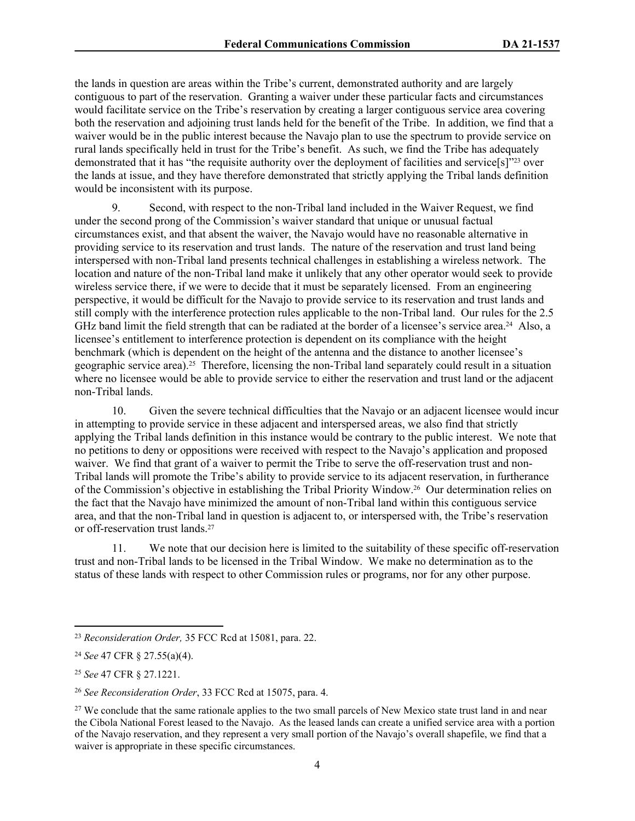the lands in question are areas within the Tribe's current, demonstrated authority and are largely contiguous to part of the reservation. Granting a waiver under these particular facts and circumstances would facilitate service on the Tribe's reservation by creating a larger contiguous service area covering both the reservation and adjoining trust lands held for the benefit of the Tribe. In addition, we find that a waiver would be in the public interest because the Navajo plan to use the spectrum to provide service on rural lands specifically held in trust for the Tribe's benefit. As such, we find the Tribe has adequately demonstrated that it has "the requisite authority over the deployment of facilities and service[s]"23 over the lands at issue, and they have therefore demonstrated that strictly applying the Tribal lands definition would be inconsistent with its purpose.

9. Second, with respect to the non-Tribal land included in the Waiver Request, we find under the second prong of the Commission's waiver standard that unique or unusual factual circumstances exist, and that absent the waiver, the Navajo would have no reasonable alternative in providing service to its reservation and trust lands. The nature of the reservation and trust land being interspersed with non-Tribal land presents technical challenges in establishing a wireless network. The location and nature of the non-Tribal land make it unlikely that any other operator would seek to provide wireless service there, if we were to decide that it must be separately licensed. From an engineering perspective, it would be difficult for the Navajo to provide service to its reservation and trust lands and still comply with the interference protection rules applicable to the non-Tribal land. Our rules for the 2.5 GHz band limit the field strength that can be radiated at the border of a licensee's service area.<sup>24</sup> Also, a licensee's entitlement to interference protection is dependent on its compliance with the height benchmark (which is dependent on the height of the antenna and the distance to another licensee's geographic service area).25 Therefore, licensing the non-Tribal land separately could result in a situation where no licensee would be able to provide service to either the reservation and trust land or the adjacent non-Tribal lands.

10. Given the severe technical difficulties that the Navajo or an adjacent licensee would incur in attempting to provide service in these adjacent and interspersed areas, we also find that strictly applying the Tribal lands definition in this instance would be contrary to the public interest. We note that no petitions to deny or oppositions were received with respect to the Navajo's application and proposed waiver. We find that grant of a waiver to permit the Tribe to serve the off-reservation trust and non-Tribal lands will promote the Tribe's ability to provide service to its adjacent reservation, in furtherance of the Commission's objective in establishing the Tribal Priority Window.26 Our determination relies on the fact that the Navajo have minimized the amount of non-Tribal land within this contiguous service area, and that the non-Tribal land in question is adjacent to, or interspersed with, the Tribe's reservation or off-reservation trust lands.<sup>27</sup>

11. We note that our decision here is limited to the suitability of these specific off-reservation trust and non-Tribal lands to be licensed in the Tribal Window. We make no determination as to the status of these lands with respect to other Commission rules or programs, nor for any other purpose.

<sup>23</sup> *Reconsideration Order,* 35 FCC Rcd at 15081, para. 22.

<sup>24</sup> *See* 47 CFR § 27.55(a)(4).

<sup>25</sup> *See* 47 CFR § 27.1221.

<sup>26</sup> *See Reconsideration Order*, 33 FCC Rcd at 15075, para. 4.

<sup>&</sup>lt;sup>27</sup> We conclude that the same rationale applies to the two small parcels of New Mexico state trust land in and near the Cibola National Forest leased to the Navajo. As the leased lands can create a unified service area with a portion of the Navajo reservation, and they represent a very small portion of the Navajo's overall shapefile, we find that a waiver is appropriate in these specific circumstances.